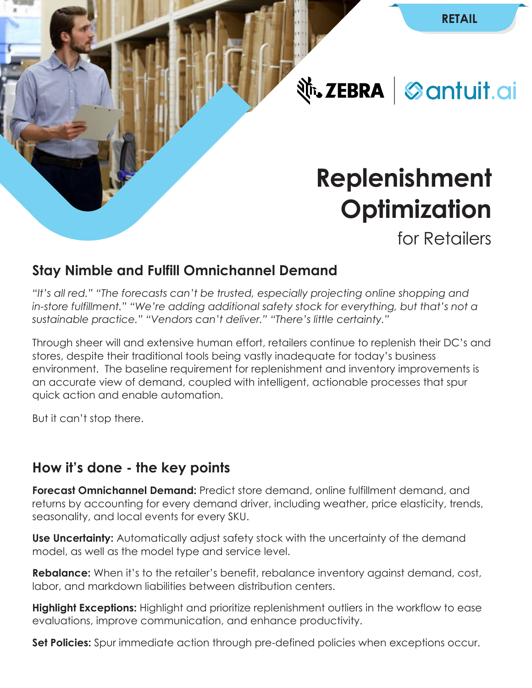**Nr. ZEBRA** Santuit.ai

# **Replenishment Optimization**

for Retailers

# **Stay Nimble and Fulfill Omnichannel Demand**

*"It's all red." "The forecasts can't be trusted, especially projecting online shopping and in-store fulfillment." "We're adding additional safety stock for everything, but that's not a sustainable practice." "Vendors can't deliver." "There's little certainty."* 

Through sheer will and extensive human effort, retailers continue to replenish their DC's and stores, despite their traditional tools being vastly inadequate for today's business environment. The baseline requirement for replenishment and inventory improvements is an accurate view of demand, coupled with intelligent, actionable processes that spur quick action and enable automation.

But it can't stop there.

# **How it's done - the key points**

**Forecast Omnichannel Demand:** Predict store demand, online fulfillment demand, and returns by accounting for every demand driver, including weather, price elasticity, trends, seasonality, and local events for every SKU.

**Use Uncertainty:** Automatically adjust safety stock with the uncertainty of the demand model, as well as the model type and service level.

**Rebalance:** When it's to the retailer's benefit, rebalance inventory against demand, cost, labor, and markdown liabilities between distribution centers.

**Highlight Exceptions:** Highlight and prioritize replenishment outliers in the workflow to ease evaluations, improve communication, and enhance productivity.

**Set Policies:** Spur immediate action through pre-defined policies when exceptions occur.